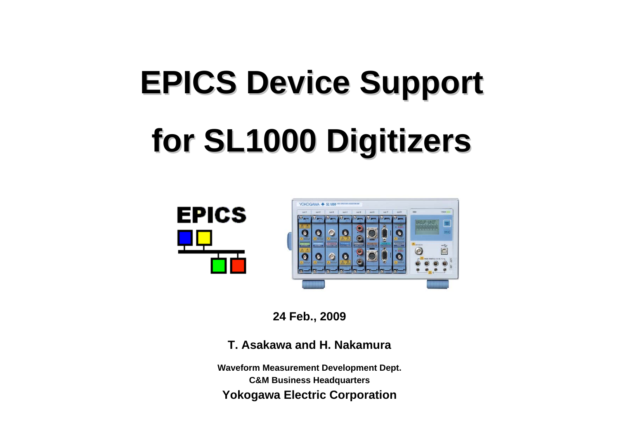# **EPICS Device Support EPICS Device Support for SL1000 Digitizers for SL1000 Digitizers**





**24 Feb., 2009**

**T. Asakawa and H. Nakamura**

**Waveform Measurement Development Dept. C&M Business Headquarters Yokogawa Electric Corporation**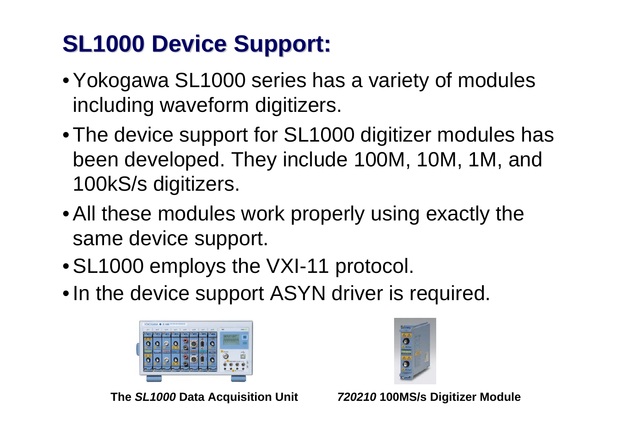### **SL1000 Device Support: SL1000 Device Support:**

- Yokogawa SL1000 series has a variety of modules including waveform digitizers.
- The device support for SL1000 digitizer modules has been developed. They include 100M, 10M, 1M, and 100kS/s digitizers.
- All these modules work properly using exactly the same device support.
- SL1000 employs the VXI-11 protocol.
- In the device support ASYN driver is required.



**The** *SL1000* **Data Acquisition Unit** *720210* **100MS/s Digitizer Module**

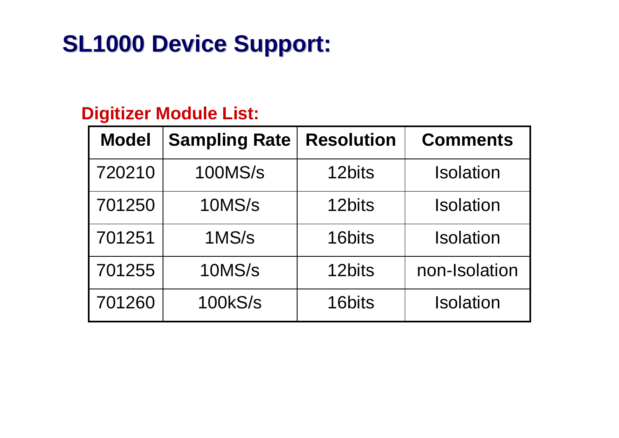#### **SL1000 Device Support: SL1000 Device Support:**

#### **Digitizer Module List:**

| <b>Model</b> | <b>Sampling Rate</b> | <b>Resolution</b> | <b>Comments</b>  |  |
|--------------|----------------------|-------------------|------------------|--|
| 720210       | <b>100MS/s</b>       | 12bits            | <b>Isolation</b> |  |
| 701250       | 10MS/s               | 12bits            | <b>Isolation</b> |  |
| 701251       | 1MS/s                | 16bits            | <b>Isolation</b> |  |
| 701255       | 10MS/s               | 12bits            | non-Isolation    |  |
| 701260       | <b>100kS/s</b>       | 16bits            | <b>Isolation</b> |  |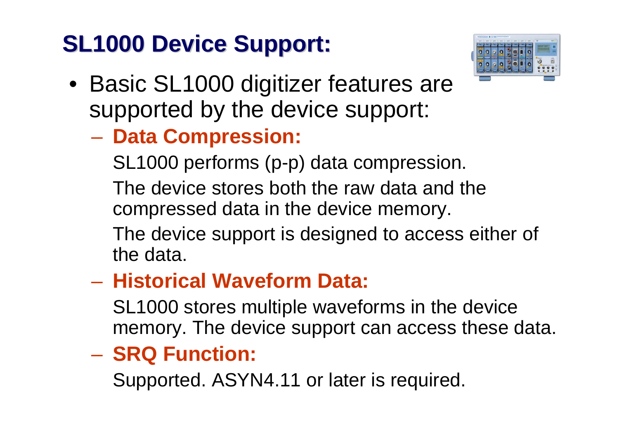### **SL1000 Device Support: SL1000 Device Support:**



- Basic SL1000 digitizer features are supported by the device support:
	- **Data Compression:**

SL1000 performs (p-p) data compression.

The device stores both the raw data and the compressed data in the device memory.

The device support is designed to access either of the data.

#### – **Historical Waveform Data:**

SL1000 stores multiple waveforms in the device memory. The device support can access these data.

#### **SRQ Function:**

Supported. ASYN4.11 or later is required.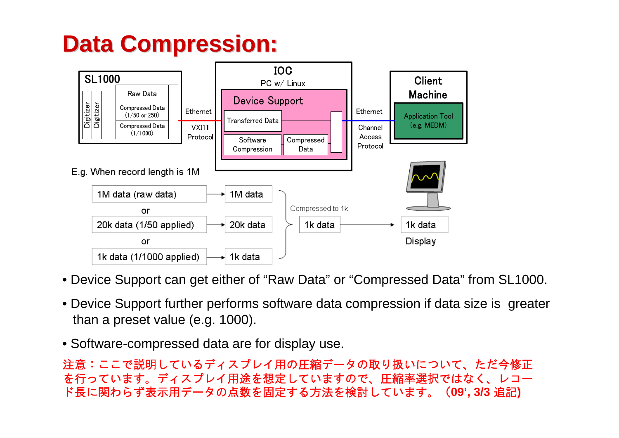### **Data Compression: Data Compression:**



- Device Support can get either of "Raw Data" or "Compressed Data" from SL1000.
- Device Support further performs software data compression if data size is greater than a preset value (e.g. 1000).
- Software-compressed data are for display use.

注意:ここで説明しているディスプレイ用の圧縮データの取り扱いについて、ただ今修正 を行っています。ディスプレイ用途を想定していますので、圧縮率選択ではなく、レコー ド長に関わらず表示用データの点数を固定する方法を検討しています。(**09', 3/3** 追記**)**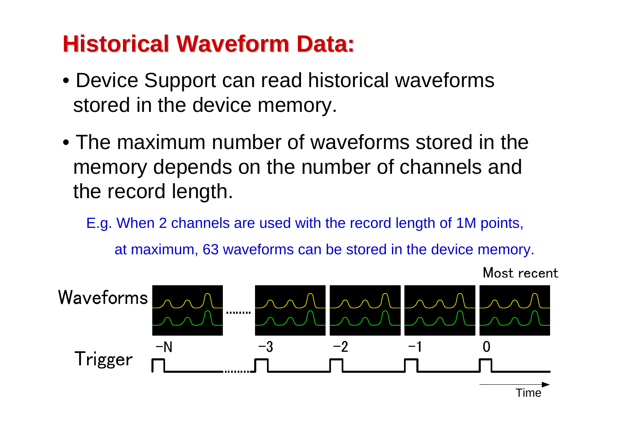### **Historical Waveform Data:**

- Device Support can read historical waveforms stored in the device memory.
- The maximum number of waveforms stored in the memory depends on the number of channels and the record length.

E.g. When 2 channels are used with the record length of 1M points, at maximum, 63 waveforms can be stored in the device memory.

Most recent

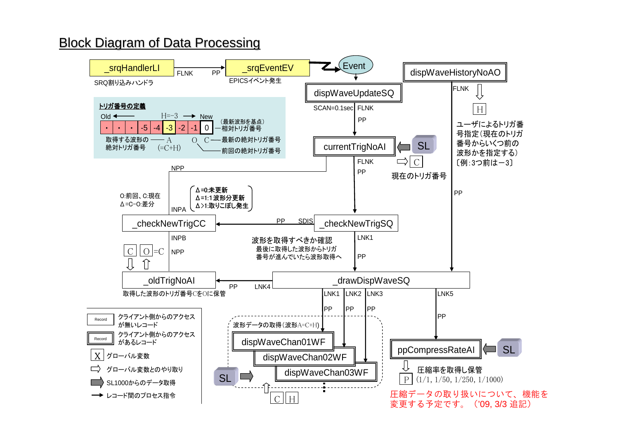#### **Block Diagram of Data Processing**

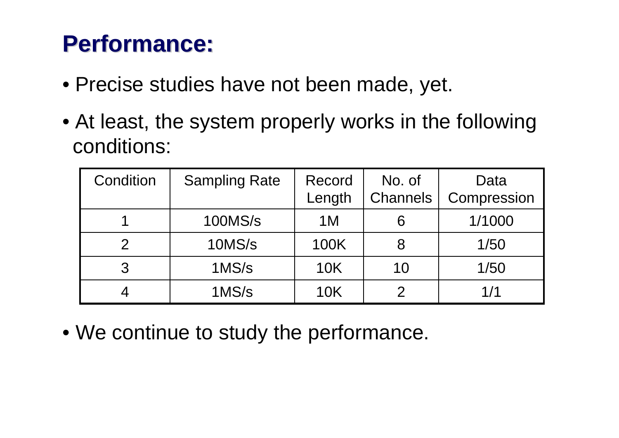#### **Performance: Performance:**

- Precise studies have not been made, yet.
- At least, the system properly works in the following conditions:

| Condition | <b>Sampling Rate</b> | Record     | No. of          | Data        |
|-----------|----------------------|------------|-----------------|-------------|
|           |                      | Length     | <b>Channels</b> | Compression |
|           | <b>100MS/s</b>       | 1 M        | 6               | 1/1000      |
|           | 10MS/s               | 100K       |                 | 1/50        |
|           | 1MS/s                | <b>10K</b> | 10              | 1/50        |
|           | 1MS/s                | 10K        |                 | 1/1         |

• We continue to study the performance.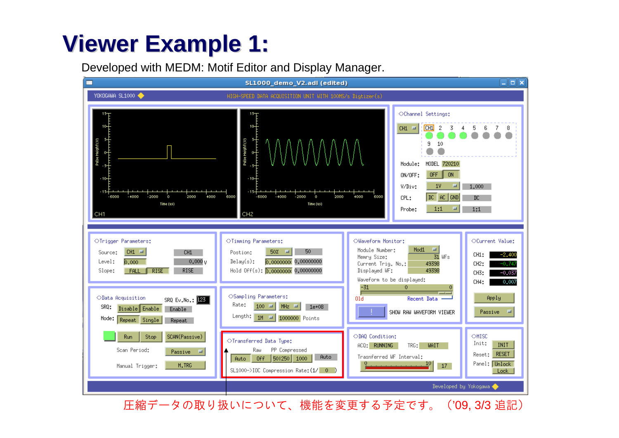### **Viewer Example 1: Viewer Example 1:**

Developed with MEDM: Motif Editor and Display Manager.



圧縮データの取り扱いについて、機能を変更する予定です。('09, 3/3 追記)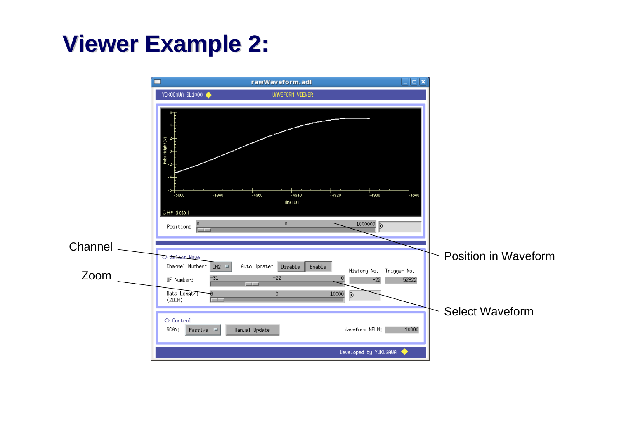#### **Viewer Example 2: Viewer Example 2:**

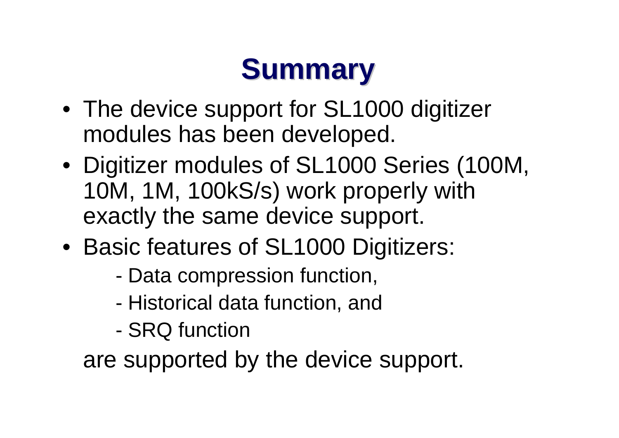## **Summary Summary**

- The device support for SL1000 digitizer modules has been developed.
- Digitizer modules of SL1000 Series (100M, 10M, 1M, 100kS/s) work properly with exactly the same device support.
- Basic features of SL1000 Digitizers:
	- -Data compression function,
	- -Historical data function, and
	- -SRQ function

are supported by the device support.